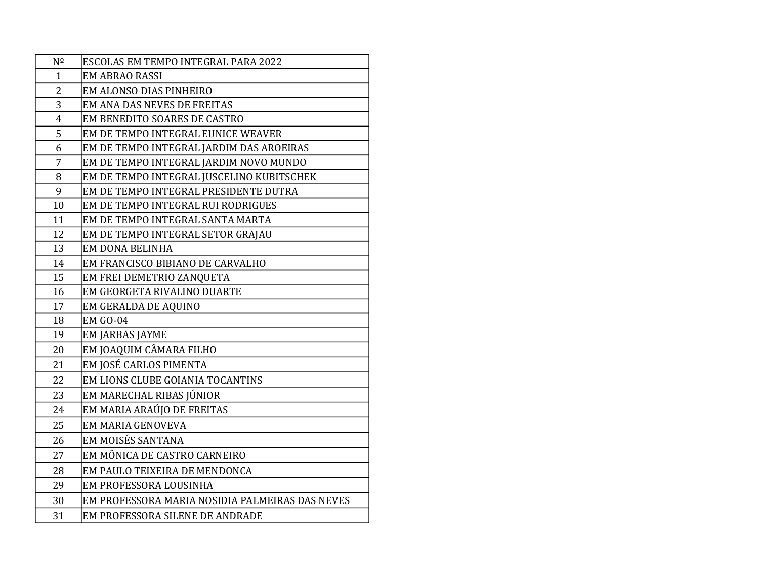| $N^{\Omega}$   | ESCOLAS EM TEMPO INTEGRAL PARA 2022             |
|----------------|-------------------------------------------------|
| $\mathbf{1}$   | <b>EM ABRAO RASSI</b>                           |
| $\overline{2}$ | EM ALONSO DIAS PINHEIRO                         |
| 3              | EM ANA DAS NEVES DE FREITAS                     |
| $\overline{4}$ | EM BENEDITO SOARES DE CASTRO                    |
| 5              | EM DE TEMPO INTEGRAL EUNICE WEAVER              |
| 6              | EM DE TEMPO INTEGRAL JARDIM DAS AROEIRAS        |
| $\overline{7}$ | EM DE TEMPO INTEGRAL JARDIM NOVO MUNDO          |
| 8              | EM DE TEMPO INTEGRAL JUSCELINO KUBITSCHEK       |
| 9              | EM DE TEMPO INTEGRAL PRESIDENTE DUTRA           |
| 10             | EM DE TEMPO INTEGRAL RUI RODRIGUES              |
| 11             | EM DE TEMPO INTEGRAL SANTA MARTA                |
| 12             | EM DE TEMPO INTEGRAL SETOR GRAJAU               |
| 13             | EM DONA BELINHA                                 |
| 14             | EM FRANCISCO BIBIANO DE CARVALHO                |
| 15             | EM FREI DEMETRIO ZANQUETA                       |
| 16             | EM GEORGETA RIVALINO DUARTE                     |
| 17             | EM GERALDA DE AQUINO                            |
| 18             | <b>EM GO-04</b>                                 |
| 19             | EM JARBAS JAYME                                 |
| 20             | EM JOAQUIM CÂMARA FILHO                         |
| 21             | EM JOSÉ CARLOS PIMENTA                          |
| 22             | EM LIONS CLUBE GOIANIA TOCANTINS                |
| 23             | EM MARECHAL RIBAS JÚNIOR                        |
| 24             | EM MARIA ARAÚJO DE FREITAS                      |
| 25             | EM MARIA GENOVEVA                               |
| 26             | EM MOISÉS SANTANA                               |
| 27             | EM MÔNICA DE CASTRO CARNEIRO                    |
| 28             | EM PAULO TEIXEIRA DE MENDONCA                   |
| 29             | EM PROFESSORA LOUSINHA                          |
| 30             | EM PROFESSORA MARIA NOSIDIA PALMEIRAS DAS NEVES |
| 31             | EM PROFESSORA SILENE DE ANDRADE                 |